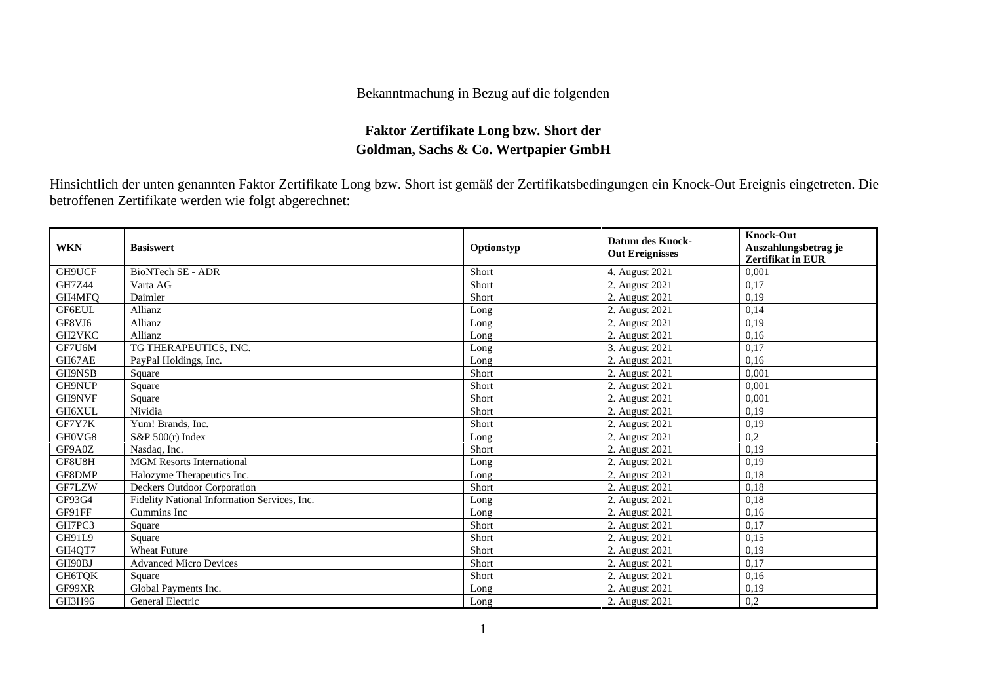## Bekanntmachung in Bezug auf die folgenden

## **Faktor Zertifikate Long bzw. Short der Goldman, Sachs & Co. Wertpapier GmbH**

Hinsichtlich der unten genannten Faktor Zertifikate Long bzw. Short ist gemäß der Zertifikatsbedingungen ein Knock-Out Ereignis eingetreten. Die betroffenen Zertifikate werden wie folgt abgerechnet:

| <b>WKN</b>    | <b>Basiswert</b>                             | Optionstyp | <b>Datum des Knock-</b><br><b>Out Ereignisses</b> | <b>Knock-Out</b><br>Auszahlungsbetrag je<br><b>Zertifikat in EUR</b> |
|---------------|----------------------------------------------|------------|---------------------------------------------------|----------------------------------------------------------------------|
| GH9UCF        | <b>BioNTech SE - ADR</b>                     | Short      | 4. August 2021                                    | 0,001                                                                |
| <b>GH7Z44</b> | Varta AG                                     | Short      | 2. August 2021                                    | 0,17                                                                 |
| GH4MFQ        | Daimler                                      | Short      | 2. August 2021                                    | 0,19                                                                 |
| GF6EUL        | Allianz                                      | Long       | 2. August 2021                                    | 0,14                                                                 |
| GF8VJ6        | Allianz                                      | Long       | 2. August 2021                                    | 0,19                                                                 |
| GH2VKC        | Allianz                                      | Long       | 2. August 2021                                    | 0,16                                                                 |
| GF7U6M        | TG THERAPEUTICS, INC.                        | Long       | 3. August 2021                                    | 0,17                                                                 |
| GH67AE        | PayPal Holdings, Inc.                        | Long       | 2. August 2021                                    | 0.16                                                                 |
| GH9NSB        | Square                                       | Short      | 2. August 2021                                    | 0,001                                                                |
| <b>GH9NUP</b> | Square                                       | Short      | 2. August 2021                                    | 0.001                                                                |
| GH9NVF        | Square                                       | Short      | 2. August 2021                                    | 0.001                                                                |
| GH6XUL        | Nividia                                      | Short      | 2. August 2021                                    | 0.19                                                                 |
| GF7Y7K        | Yum! Brands, Inc.                            | Short      | 2. August 2021                                    | 0,19                                                                 |
| GH0VG8        | $S\&P 500(r)$ Index                          | Long       | 2. August 2021                                    | 0.2                                                                  |
| GF9A0Z        | Nasdaq, Inc.                                 | Short      | 2. August 2021                                    | 0.19                                                                 |
| GF8U8H        | <b>MGM Resorts International</b>             | Long       | 2. August 2021                                    | 0,19                                                                 |
| GF8DMP        | Halozyme Therapeutics Inc.                   | Long       | 2. August 2021                                    | 0,18                                                                 |
| GF7LZW        | Deckers Outdoor Corporation                  | Short      | 2. August 2021                                    | 0,18                                                                 |
| GF93G4        | Fidelity National Information Services, Inc. | Long       | 2. August 2021                                    | 0.18                                                                 |
| GF91FF        | Cummins Inc                                  | Long       | 2. August 2021                                    | 0,16                                                                 |
| GH7PC3        | Square                                       | Short      | 2. August 2021                                    | 0,17                                                                 |
| <b>GH91L9</b> | Square                                       | Short      | 2. August 2021                                    | 0.15                                                                 |
| GH4QT7        | <b>Wheat Future</b>                          | Short      | 2. August 2021                                    | 0,19                                                                 |
| GH90BJ        | <b>Advanced Micro Devices</b>                | Short      | 2. August 2021                                    | 0,17                                                                 |
| GH6TOK        | Square                                       | Short      | 2. August 2021                                    | 0,16                                                                 |
| GF99XR        | Global Payments Inc.                         | Long       | 2. August 2021                                    | 0,19                                                                 |
| GH3H96        | General Electric                             | Long       | 2. August 2021                                    | 0,2                                                                  |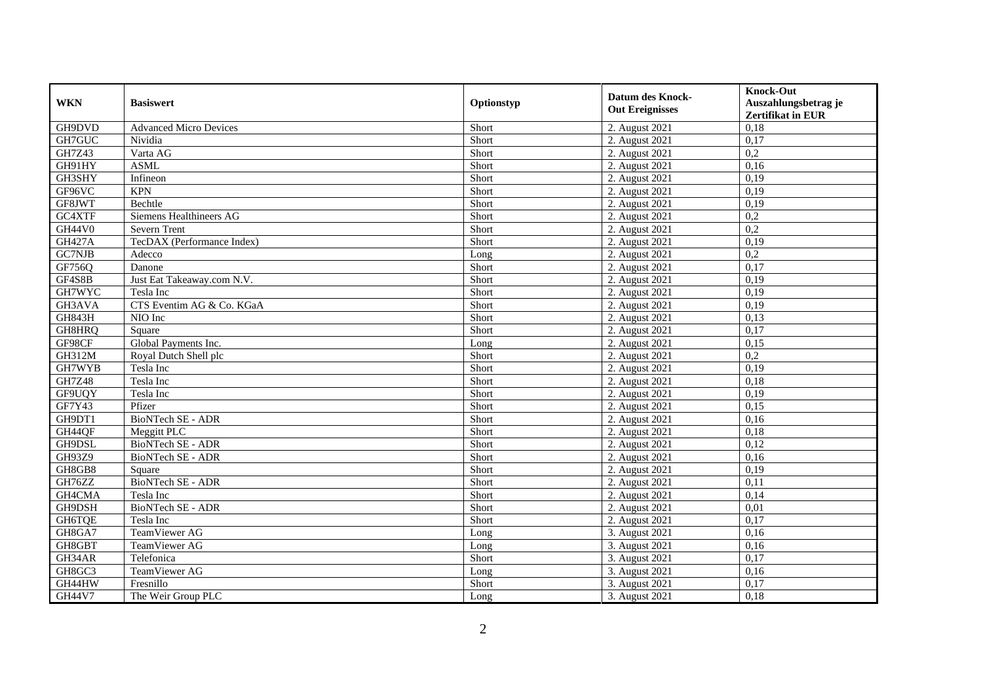| <b>WKN</b>    | <b>Basiswert</b>              | Optionstyp | <b>Datum des Knock-</b><br><b>Out Ereignisses</b> | <b>Knock-Out</b><br>Auszahlungsbetrag je<br><b>Zertifikat in EUR</b> |
|---------------|-------------------------------|------------|---------------------------------------------------|----------------------------------------------------------------------|
| GH9DVD        | <b>Advanced Micro Devices</b> | Short      | 2. August 2021                                    | 0,18                                                                 |
| GH7GUC        | Nividia                       | Short      | 2. August 2021                                    | 0,17                                                                 |
| GH7Z43        | Varta AG                      | Short      | 2. August 2021                                    | 0,2                                                                  |
| GH91HY        | <b>ASML</b>                   | Short      | 2. August 2021                                    | 0,16                                                                 |
| GH3SHY        | Infineon                      | Short      | 2. August 2021                                    | 0,19                                                                 |
| GF96VC        | <b>KPN</b>                    | Short      | 2. August 2021                                    | 0,19                                                                 |
| GF8JWT        | Bechtle                       | Short      | 2. August 2021                                    | 0,19                                                                 |
| GC4XTF        | Siemens Healthineers AG       | Short      | 2. August 2021                                    | 0,2                                                                  |
| <b>GH44V0</b> | Severn Trent                  | Short      | 2. August 2021                                    | 0,2                                                                  |
| <b>GH427A</b> | TecDAX (Performance Index)    | Short      | 2. August 2021                                    | 0,19                                                                 |
| GC7NJB        | Adecco                        | Long       | 2. August 2021                                    | 0,2                                                                  |
| GF756Q        | Danone                        | Short      | 2. August 2021                                    | 0,17                                                                 |
| GF4S8B        | Just Eat Takeaway.com N.V.    | Short      | 2. August 2021                                    | 0,19                                                                 |
| GH7WYC        | Tesla Inc                     | Short      | 2. August 2021                                    | 0,19                                                                 |
| GH3AVA        | CTS Eventim AG & Co. KGaA     | Short      | 2. August 2021                                    | 0,19                                                                 |
| <b>GH843H</b> | NIO Inc                       | Short      | 2. August 2021                                    | 0.13                                                                 |
| GH8HRQ        | Square                        | Short      | 2. August 2021                                    | 0,17                                                                 |
| GF98CF        | Global Payments Inc.          | Long       | 2. August 2021                                    | 0,15                                                                 |
| <b>GH312M</b> | Royal Dutch Shell plc         | Short      | 2. August 2021                                    | 0,2                                                                  |
| GH7WYB        | Tesla Inc                     | Short      | 2. August 2021                                    | 0,19                                                                 |
| <b>GH7Z48</b> | Tesla Inc                     | Short      | 2. August 2021                                    | 0,18                                                                 |
| GF9UQY        | Tesla Inc                     | Short      | 2. August 2021                                    | 0.19                                                                 |
| GF7Y43        | Pfizer                        | Short      | 2. August 2021                                    | 0,15                                                                 |
| GH9DT1        | <b>BioNTech SE - ADR</b>      | Short      | 2. August 2021                                    | 0,16                                                                 |
| GH44QF        | Meggitt PLC                   | Short      | 2. August 2021                                    | 0,18                                                                 |
| GH9DSL        | BioNTech SE - ADR             | Short      | 2. August 2021                                    | 0,12                                                                 |
| GH93Z9        | <b>BioNTech SE - ADR</b>      | Short      | 2. August 2021                                    | 0,16                                                                 |
| GH8GB8        | Square                        | Short      | 2. August 2021                                    | 0,19                                                                 |
| GH76ZZ        | <b>BioNTech SE - ADR</b>      | Short      | 2. August 2021                                    | 0,11                                                                 |
| GH4CMA        | Tesla Inc                     | Short      | 2. August 2021                                    | 0,14                                                                 |
| GH9DSH        | BioNTech SE - ADR             | Short      | 2. August 2021                                    | 0,01                                                                 |
| <b>GH6TQE</b> | Tesla Inc                     | Short      | 2. August 2021                                    | 0,17                                                                 |
| GH8GA7        | TeamViewer AG                 | Long       | 3. August 2021                                    | 0,16                                                                 |
| GH8GBT        | TeamViewer AG                 | Long       | 3. August 2021                                    | 0,16                                                                 |
| GH34AR        | Telefonica                    | Short      | 3. August 2021                                    | 0,17                                                                 |
| GH8GC3        | TeamViewer AG                 | Long       | 3. August 2021                                    | 0,16                                                                 |
| GH44HW        | Fresnillo                     | Short      | 3. August 2021                                    | 0,17                                                                 |
| GH44V7        | The Weir Group PLC            | Long       | 3. August 2021                                    | 0,18                                                                 |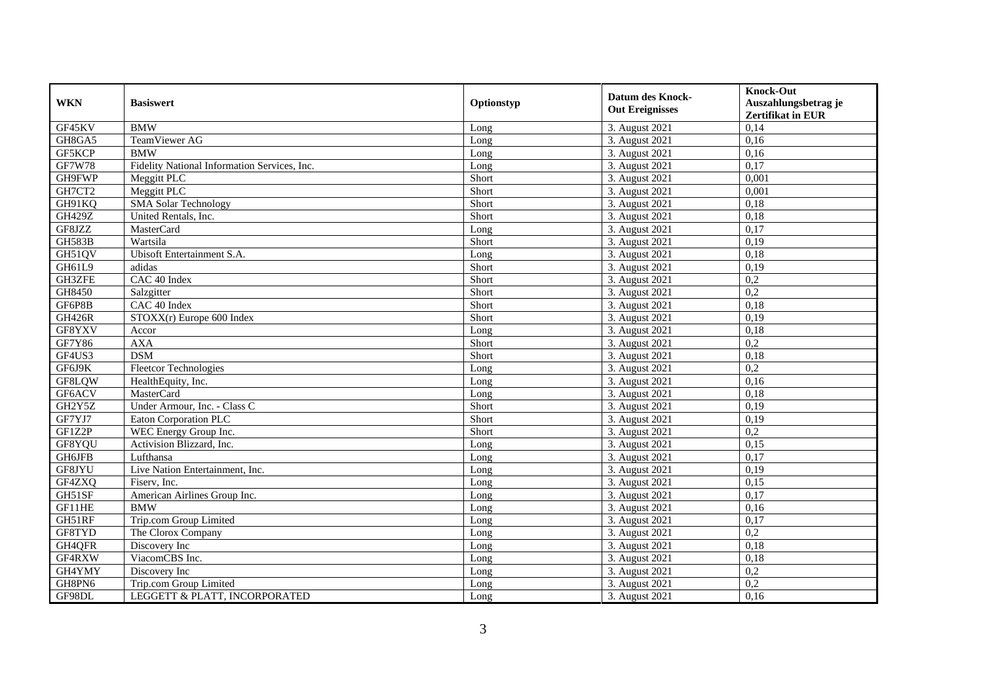| <b>WKN</b>    | <b>Basiswert</b>                             | Optionstyp | <b>Datum des Knock-</b><br><b>Out Ereignisses</b> | <b>Knock-Out</b><br>Auszahlungsbetrag je<br><b>Zertifikat in EUR</b> |
|---------------|----------------------------------------------|------------|---------------------------------------------------|----------------------------------------------------------------------|
| GF45KV        | <b>BMW</b>                                   | Long       | 3. August 2021                                    | 0,14                                                                 |
| GH8GA5        | TeamViewer AG                                | Long       | 3. August 2021                                    | 0,16                                                                 |
| GF5KCP        | <b>BMW</b>                                   | Long       | 3. August 2021                                    | 0,16                                                                 |
| <b>GF7W78</b> | Fidelity National Information Services, Inc. | Long       | 3. August 2021                                    | 0,17                                                                 |
| GH9FWP        | Meggitt PLC                                  | Short      | 3. August 2021                                    | 0,001                                                                |
| GH7CT2        | Meggitt PLC                                  | Short      | 3. August 2021                                    | 0,001                                                                |
| GH91KQ        | <b>SMA Solar Technology</b>                  | Short      | 3. August 2021                                    | 0,18                                                                 |
| GH429Z        | United Rentals, Inc.                         | Short      | 3. August 2021                                    | 0,18                                                                 |
| GF8JZZ        | MasterCard                                   | Long       | 3. August 2021                                    | 0,17                                                                 |
| <b>GH583B</b> | Wartsila                                     | Short      | 3. August 2021                                    | 0,19                                                                 |
| GH51QV        | Ubisoft Entertainment S.A.                   | Long       | 3. August 2021                                    | 0.18                                                                 |
| GH61L9        | adidas                                       | Short      | 3. August 2021                                    | 0,19                                                                 |
| GH3ZFE        | CAC 40 Index                                 | Short      | 3. August 2021                                    | 0,2                                                                  |
| GH8450        | Salzgitter                                   | Short      | 3. August $2021$                                  | 0,2                                                                  |
| GF6P8B        | CAC 40 Index                                 | Short      | 3. August 2021                                    | 0,18                                                                 |
| <b>GH426R</b> | $STOXX(r)$ Europe 600 Index                  | Short      | 3. August 2021                                    | 0,19                                                                 |
| GF8YXV        | Accor                                        | Long       | 3. August 2021                                    | 0,18                                                                 |
| GF7Y86        | <b>AXA</b>                                   | Short      | 3. August 2021                                    | 0,2                                                                  |
| GF4US3        | <b>DSM</b>                                   | Short      | 3. August 2021                                    | 0,18                                                                 |
| GF6J9K        | <b>Fleetcor Technologies</b>                 | Long       | 3. August 2021                                    | 0,2                                                                  |
| GF8LQW        | HealthEquity, Inc.                           | Long       | 3. August 2021                                    | 0,16                                                                 |
| GF6ACV        | MasterCard                                   | Long       | 3. August 2021                                    | 0,18                                                                 |
| GH2Y5Z        | Under Armour, Inc. - Class C                 | Short      | 3. August 2021                                    | 0,19                                                                 |
| GF7YJ7        | Eaton Corporation PLC                        | Short      | 3. August 2021                                    | 0,19                                                                 |
| GF1Z2P        | WEC Energy Group Inc.                        | Short      | 3. August 2021                                    | 0,2                                                                  |
| GF8YQU        | Activision Blizzard, Inc.                    | Long       | 3. August 2021                                    | 0,15                                                                 |
| GH6JFB        | Lufthansa                                    | Long       | 3. August 2021                                    | 0,17                                                                 |
| GF8JYU        | Live Nation Entertainment, Inc.              | Long       | 3. August 2021                                    | 0,19                                                                 |
| GF4ZXQ        | Fisery, Inc.                                 | Long       | 3. August 2021                                    | 0,15                                                                 |
| GH51SF        | American Airlines Group Inc.                 | Long       | 3. August 2021                                    | 0,17                                                                 |
| GF11HE        | <b>BMW</b>                                   | Long       | 3. August 2021                                    | 0,16                                                                 |
| GH51RF        | Trip.com Group Limited                       | Long       | 3. August 2021                                    | 0,17                                                                 |
| GF8TYD        | The Clorox Company                           | Long       | 3. August 2021                                    | $\overline{0.2}$                                                     |
| GH4QFR        | Discovery Inc                                | Long       | 3. August 2021                                    | 0,18                                                                 |
| GF4RXW        | ViacomCBS Inc.                               | Long       | 3. August 2021                                    | 0,18                                                                 |
| GH4YMY        | Discovery Inc                                | Long       | 3. August 2021                                    | 0,2                                                                  |
| GH8PN6        | Trip.com Group Limited                       | Long       | 3. August 2021                                    | 0,2                                                                  |
| GF98DL        | LEGGETT & PLATT, INCORPORATED                | Long       | 3. August 2021                                    | 0,16                                                                 |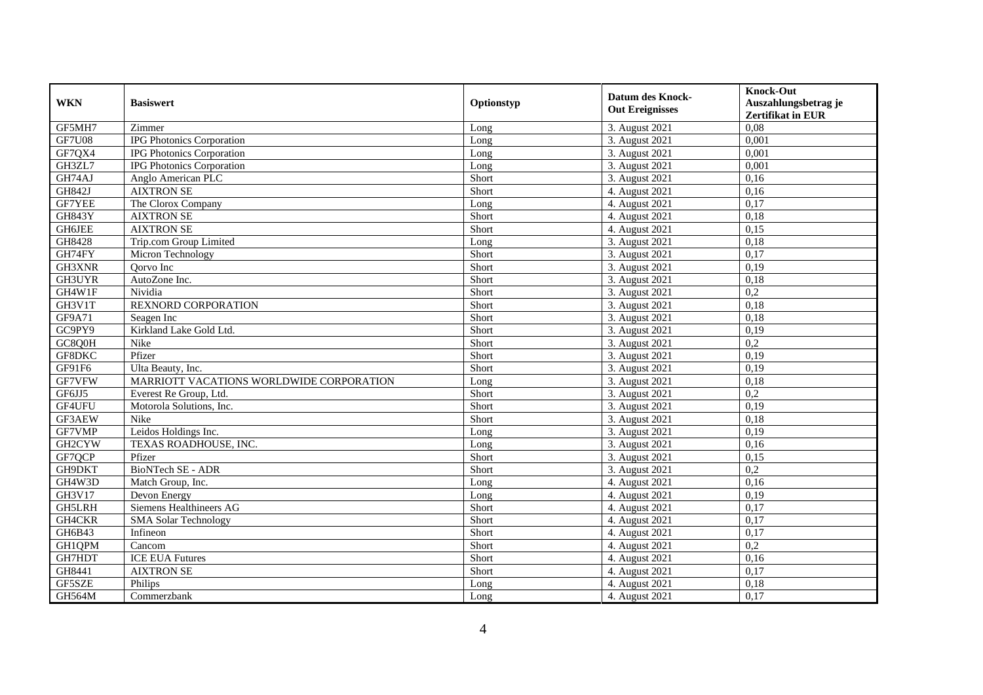| <b>WKN</b>    | <b>Basiswert</b>                         | Optionstyp | <b>Datum des Knock-</b><br><b>Out Ereignisses</b> | <b>Knock-Out</b><br>Auszahlungsbetrag je<br><b>Zertifikat in EUR</b> |
|---------------|------------------------------------------|------------|---------------------------------------------------|----------------------------------------------------------------------|
| GF5MH7        | Zimmer                                   | Long       | 3. August 2021                                    | 0,08                                                                 |
| <b>GF7U08</b> | <b>IPG Photonics Corporation</b>         | Long       | 3. August 2021                                    | 0,001                                                                |
| GF7QX4        | <b>IPG Photonics Corporation</b>         | Long       | 3. August 2021                                    | 0,001                                                                |
| GH3ZL7        | <b>IPG Photonics Corporation</b>         | Long       | 3. August 2021                                    | 0,001                                                                |
| GH74AJ        | Anglo American PLC                       | Short      | 3. August 2021                                    | 0,16                                                                 |
| GH842J        | <b>AIXTRON SE</b>                        | Short      | 4. August 2021                                    | 0.16                                                                 |
| <b>GF7YEE</b> | The Clorox Company                       | Long       | 4. August 2021                                    | 0,17                                                                 |
| <b>GH843Y</b> | <b>AIXTRON SE</b>                        | Short      | 4. August 2021                                    | 0,18                                                                 |
| <b>GH6JEE</b> | <b>AIXTRON SE</b>                        | Short      | 4. August 2021                                    | 0,15                                                                 |
| GH8428        | Trip.com Group Limited                   | Long       | 3. August 2021                                    | 0,18                                                                 |
| GH74FY        | Micron Technology                        | Short      | 3. August 2021                                    | 0,17                                                                 |
| GH3XNR        | Oorvo Inc                                | Short      | 3. August 2021                                    | 0,19                                                                 |
| GH3UYR        | AutoZone Inc.                            | Short      | 3. August 2021                                    | 0,18                                                                 |
| GH4W1F        | Nividia                                  | Short      | 3. August 2021                                    | 0,2                                                                  |
| GH3V1T        | <b>REXNORD CORPORATION</b>               | Short      | 3. August 2021                                    | 0.18                                                                 |
| GF9A71        | Seagen Inc                               | Short      | 3. August 2021                                    | 0,18                                                                 |
| GC9PY9        | Kirkland Lake Gold Ltd.                  | Short      | 3. August 2021                                    | 0,19                                                                 |
| GC8Q0H        | Nike                                     | Short      | 3. August 2021                                    | 0,2                                                                  |
| GF8DKC        | Pfizer                                   | Short      | 3. August 2021                                    | 0,19                                                                 |
| GF91F6        | Ulta Beauty, Inc.                        | Short      | 3. August 2021                                    | 0,19                                                                 |
| GF7VFW        | MARRIOTT VACATIONS WORLDWIDE CORPORATION | Long       | 3. August 2021                                    | 0,18                                                                 |
| GF6JJ5        | Everest Re Group, Ltd.                   | Short      | 3. August 2021                                    | 0,2                                                                  |
| GF4UFU        | Motorola Solutions, Inc.                 | Short      | 3. August 2021                                    | 0,19                                                                 |
| GF3AEW        | Nike                                     | Short      | 3. August 2021                                    | 0,18                                                                 |
| GF7VMP        | Leidos Holdings Inc.                     | Long       | 3. August 2021                                    | 0,19                                                                 |
| GH2CYW        | TEXAS ROADHOUSE, INC.                    | Long       | 3. August 2021                                    | 0,16                                                                 |
| GF7QCP        | Pfizer                                   | Short      | 3. August 2021                                    | 0,15                                                                 |
| GH9DKT        | <b>BioNTech SE - ADR</b>                 | Short      | 3. August 2021                                    | 0,2                                                                  |
| GH4W3D        | Match Group, Inc.                        | Long       | 4. August 2021                                    | 0,16                                                                 |
| <b>GH3V17</b> | Devon Energy                             | Long       | 4. August 2021                                    | 0,19                                                                 |
| GH5LRH        | Siemens Healthineers AG                  | Short      | 4. August 2021                                    | 0,17                                                                 |
| <b>GH4CKR</b> | <b>SMA Solar Technology</b>              | Short      | 4. August 2021                                    | 0,17                                                                 |
| GH6B43        | Infineon                                 | Short      | 4. August 2021                                    | 0,17                                                                 |
| GH1QPM        | Cancom                                   | Short      | 4. August 2021                                    | 0,2                                                                  |
| GH7HDT        | <b>ICE EUA Futures</b>                   | Short      | 4. August 2021                                    | 0,16                                                                 |
| GH8441        | <b>AIXTRON SE</b>                        | Short      | 4. August 2021                                    | 0,17                                                                 |
| GF5SZE        | Philips                                  | Long       | 4. August 2021                                    | 0,18                                                                 |
| <b>GH564M</b> | Commerzbank                              | Long       | 4. August 2021                                    | 0,17                                                                 |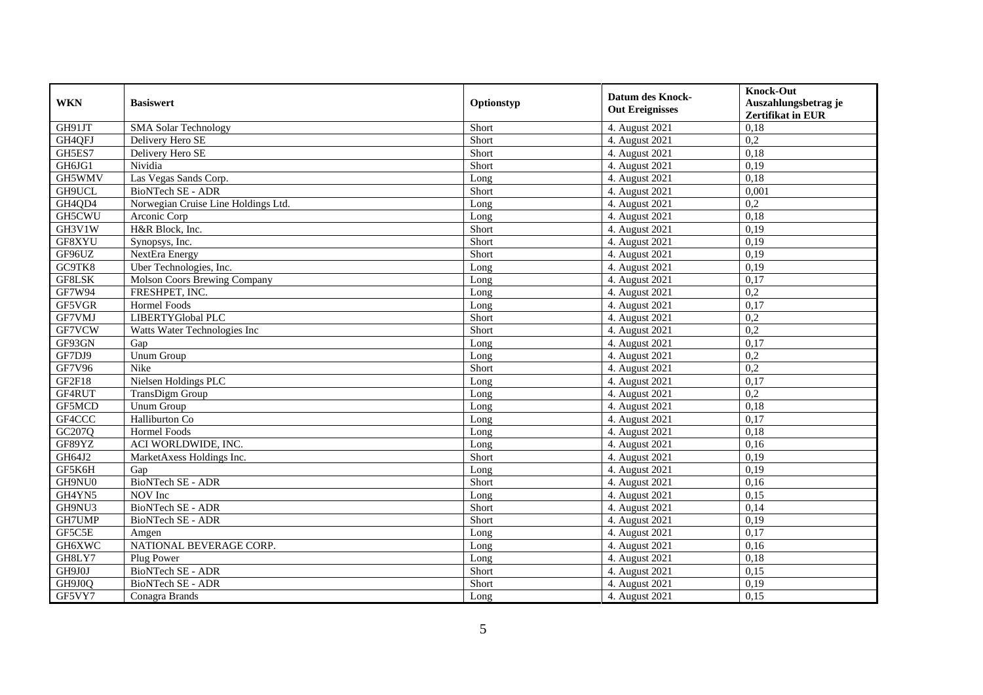| <b>WKN</b> | <b>Basiswert</b>                    | Optionstyp | <b>Datum des Knock-</b><br><b>Out Ereignisses</b> | <b>Knock-Out</b>                                 |
|------------|-------------------------------------|------------|---------------------------------------------------|--------------------------------------------------|
|            |                                     |            |                                                   | Auszahlungsbetrag je<br><b>Zertifikat in EUR</b> |
| GH91JT     | <b>SMA Solar Technology</b>         | Short      | 4. August 2021                                    | 0,18                                             |
| GH4QFJ     | Delivery Hero SE                    | Short      | 4. August 2021                                    | 0,2                                              |
| GH5ES7     | Delivery Hero SE                    | Short      | 4. August 2021                                    | 0,18                                             |
| GH6JG1     | Nividia                             | Short      | 4. August 2021                                    | 0,19                                             |
| GH5WMV     | Las Vegas Sands Corp.               | Long       | 4. August 2021                                    | 0,18                                             |
| GH9UCL     | <b>BioNTech SE - ADR</b>            | Short      | 4. August 2021                                    | 0,001                                            |
| GH4QD4     | Norwegian Cruise Line Holdings Ltd. | Long       | 4. August 2021                                    | $\overline{0.2}$                                 |
| GH5CWU     | Arconic Corp                        | Long       | 4. August 2021                                    | 0,18                                             |
| GH3V1W     | H&R Block, Inc.                     | Short      | 4. August $2021$                                  | 0,19                                             |
| GF8XYU     | Synopsys, Inc.                      | Short      | 4. August 2021                                    | 0,19                                             |
| GF96UZ     | NextEra Energy                      | Short      | 4. August 2021                                    | 0,19                                             |
| GC9TK8     | Uber Technologies, Inc.             | Long       | 4. August 2021                                    | 0,19                                             |
| GF8LSK     | Molson Coors Brewing Company        | Long       | 4. August 2021                                    | 0,17                                             |
| GF7W94     | FRESHPET, INC.                      | Long       | 4. August 2021                                    | 0,2                                              |
| GF5VGR     | Hormel Foods                        | Long       | 4. August 2021                                    | 0,17                                             |
| GF7VMJ     | LIBERTYGlobal PLC                   | Short      | 4. August 2021                                    | 0,2                                              |
| GF7VCW     | Watts Water Technologies Inc        | Short      | 4. August 2021                                    | 0,2                                              |
| GF93GN     | Gap                                 | Long       | 4. August 2021                                    | 0,17                                             |
| GF7DJ9     | Unum Group                          | Long       | 4. August 2021                                    | 0,2                                              |
| GF7V96     | Nike                                | Short      | 4. August 2021                                    | 0,2                                              |
| GF2F18     | Nielsen Holdings PLC                | Long       | 4. August 2021                                    | 0,17                                             |
| GF4RUT     | TransDigm Group                     | Long       | 4. August 2021                                    | 0,2                                              |
| GF5MCD     | <b>Unum Group</b>                   | Long       | 4. August 2021                                    | 0,18                                             |
| GF4CCC     | Halliburton Co                      | Long       | 4. August 2021                                    | 0,17                                             |
| GC207Q     | <b>Hormel Foods</b>                 | Long       | 4. August 2021                                    | 0,18                                             |
| GF89YZ     | ACI WORLDWIDE, INC.                 | Long       | 4. August 2021                                    | 0,16                                             |
| GH64J2     | MarketAxess Holdings Inc.           | Short      | 4. August 2021                                    | 0,19                                             |
| GF5K6H     | Gap                                 | Long       | 4. August 2021                                    | 0,19                                             |
| GH9NU0     | BioNTech SE - ADR                   | Short      | 4. August 2021                                    | 0,16                                             |
| GH4YN5     | NOV Inc                             | Long       | 4. August 2021                                    | 0,15                                             |
| GH9NU3     | BioNTech SE - ADR                   | Short      | 4. August 2021                                    | 0,14                                             |
| GH7UMP     | BioNTech SE - ADR                   | Short      | 4. August 2021                                    | 0,19                                             |
| GF5C5E     | Amgen                               | Long       | 4. August 2021                                    | 0,17                                             |
| GH6XWC     | NATIONAL BEVERAGE CORP.             | Long       | 4. August 2021                                    | 0,16                                             |
| GH8LY7     | Plug Power                          | Long       | 4. August 2021                                    | 0,18                                             |
| GH9J0J     | BioNTech SE - ADR                   | Short      | 4. August 2021                                    | 0,15                                             |
| GH9J0Q     | BioNTech SE - ADR                   | Short      | 4. August 2021                                    | 0,19                                             |
| GF5VY7     | Conagra Brands                      | Long       | 4. August 2021                                    | 0,15                                             |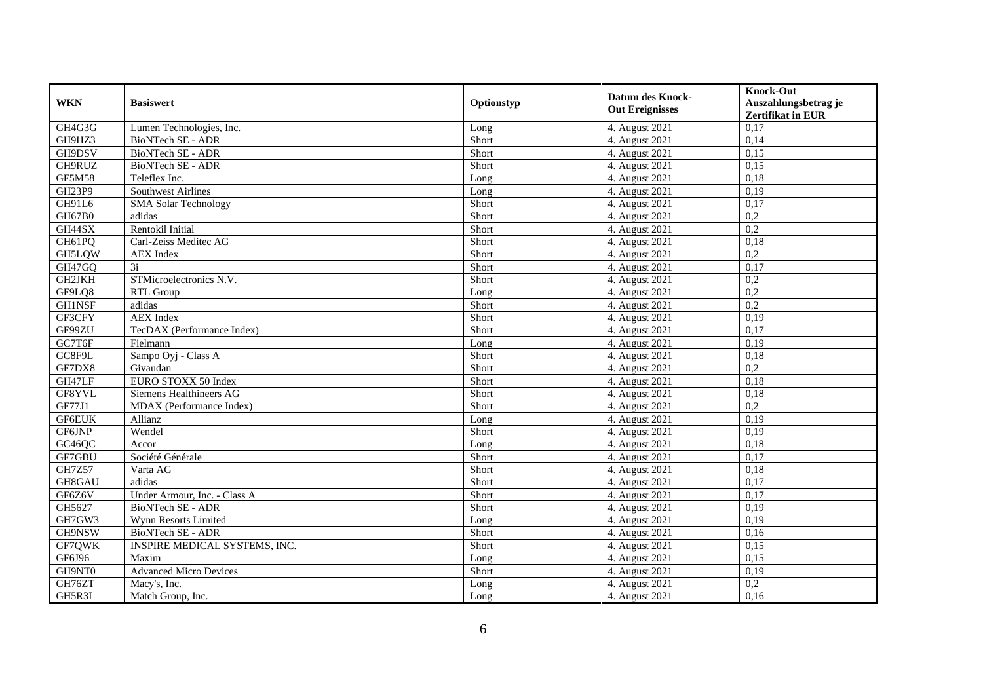| <b>WKN</b>    | <b>Basiswert</b>                     | Optionstyp | <b>Datum des Knock-</b><br><b>Out Ereignisses</b> | <b>Knock-Out</b>                                 |
|---------------|--------------------------------------|------------|---------------------------------------------------|--------------------------------------------------|
|               |                                      |            |                                                   | Auszahlungsbetrag je<br><b>Zertifikat in EUR</b> |
| GH4G3G        | Lumen Technologies, Inc.             | Long       | 4. August 2021                                    | 0,17                                             |
| GH9HZ3        | BioNTech SE - ADR                    | Short      | 4. August 2021                                    | 0,14                                             |
| GH9DSV        | BioNTech SE - ADR                    | Short      | 4. August 2021                                    | 0,15                                             |
| GH9RUZ        | BioNTech SE - ADR                    | Short      | 4. August 2021                                    | 0,15                                             |
| GF5M58        | Teleflex Inc.                        | Long       | 4. August 2021                                    | 0,18                                             |
| GH23P9        | <b>Southwest Airlines</b>            | Long       | 4. August 2021                                    | 0,19                                             |
| GH91L6        | <b>SMA Solar Technology</b>          | Short      | 4. August 2021                                    | 0,17                                             |
| GH67B0        | adidas                               | Short      | 4. August 2021                                    | 0,2                                              |
| GH44SX        | Rentokil Initial                     | Short      | 4. August $2021$                                  | $\overline{0,2}$                                 |
| GH61PQ        | Carl-Zeiss Meditec AG                | Short      | 4. August 2021                                    | 0,18                                             |
| GH5LQW        | <b>AEX</b> Index                     | Short      | 4. August 2021                                    | 0,2                                              |
| GH47GQ        | 3i                                   | Short      | 4. August 2021                                    | 0,17                                             |
| GH2JKH        | STMicroelectronics N.V.              | Short      | 4. August 2021                                    | 0,2                                              |
| GF9LQ8        | <b>RTL Group</b>                     | Long       | 4. August 2021                                    | 0,2                                              |
| <b>GH1NSF</b> | adidas                               | Short      | 4. August 2021                                    | 0,2                                              |
| GF3CFY        | <b>AEX</b> Index                     | Short      | 4. August 2021                                    | 0,19                                             |
| GF99ZU        | TecDAX (Performance Index)           | Short      | 4. August 2021                                    | 0,17                                             |
| GC7T6F        | Fielmann                             | Long       | 4. August 2021                                    | 0,19                                             |
| GC8F9L        | Sampo Oyj - Class A                  | Short      | 4. August 2021                                    | 0,18                                             |
| GF7DX8        | Givaudan                             | Short      | 4. August 2021                                    | 0,2                                              |
| GH47LF        | EURO STOXX 50 Index                  | Short      | 4. August 2021                                    | 0,18                                             |
| GF8YVL        | Siemens Healthineers AG              | Short      | 4. August 2021                                    | 0,18                                             |
| GF77J1        | MDAX (Performance Index)             | Short      | 4. August 2021                                    | 0,2                                              |
| <b>GF6EUK</b> | Allianz                              | Long       | 4. August 2021                                    | 0,19                                             |
| GF6JNP        | Wendel                               | Short      | 4. August 2021                                    | 0,19                                             |
| GC46QC        | Accor                                | Long       | 4. August 2021                                    | 0,18                                             |
| GF7GBU        | Société Générale                     | Short      | 4. August 2021                                    | 0,17                                             |
| GH7Z57        | Varta AG                             | Short      | 4. August 2021                                    | 0,18                                             |
| GH8GAU        | adidas                               | Short      | 4. August 2021                                    | 0,17                                             |
| GF6Z6V        | Under Armour, Inc. - Class A         | Short      | 4. August 2021                                    | 0,17                                             |
| GH5627        | BioNTech SE - ADR                    | Short      | 4. August 2021                                    | 0,19                                             |
| GH7GW3        | Wynn Resorts Limited                 | Long       | 4. August 2021                                    | 0,19                                             |
| GH9NSW        | BioNTech SE - ADR                    | Short      | 4. August 2021                                    | 0,16                                             |
| GF7QWK        | <b>INSPIRE MEDICAL SYSTEMS, INC.</b> | Short      | 4. August 2021                                    | 0,15                                             |
| GF6J96        | Maxim                                | Long       | 4. August 2021                                    | 0,15                                             |
| GH9NT0        | <b>Advanced Micro Devices</b>        | Short      | 4. August 2021                                    | 0,19                                             |
| GH76ZT        | Macy's, Inc.                         | Long       | 4. August 2021                                    | 0,2                                              |
| GH5R3L        | Match Group, Inc.                    | Long       | 4. August 2021                                    | 0,16                                             |